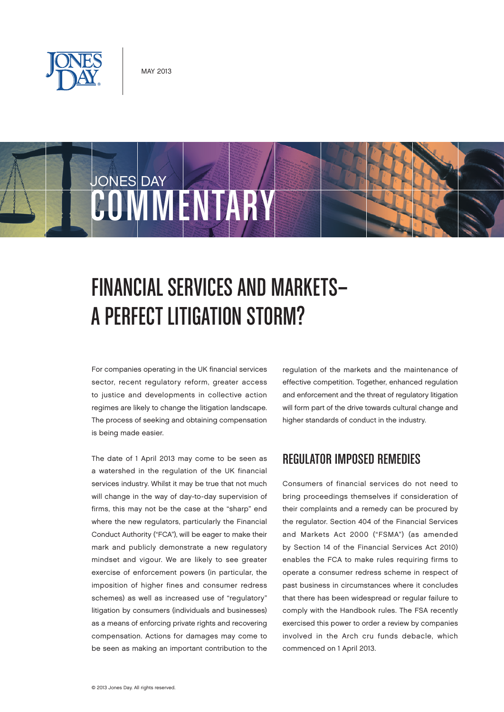

# JONES DAY COMMUNIST

## Financial Services and Markets— A Perfect Litigation Storm?

For companies operating in the UK financial services sector, recent regulatory reform, greater access to justice and developments in collective action regimes are likely to change the litigation landscape. The process of seeking and obtaining compensation is being made easier.

The date of 1 April 2013 may come to be seen as a watershed in the regulation of the UK financial services industry. Whilst it may be true that not much will change in the way of day-to-day supervision of firms, this may not be the case at the "sharp" end where the new regulators, particularly the Financial Conduct Authority ("FCA"), will be eager to make their mark and publicly demonstrate a new regulatory mindset and vigour. We are likely to see greater exercise of enforcement powers (in particular, the imposition of higher fines and consumer redress schemes) as well as increased use of "regulatory" litigation by consumers (individuals and businesses) as a means of enforcing private rights and recovering compensation. Actions for damages may come to be seen as making an important contribution to the

regulation of the markets and the maintenance of effective competition. Together, enhanced regulation and enforcement and the threat of regulatory litigation will form part of the drive towards cultural change and higher standards of conduct in the industry.

## Regulator Imposed Remedies

Consumers of financial services do not need to bring proceedings themselves if consideration of their complaints and a remedy can be procured by the regulator. Section 404 of the Financial Services and Markets Act 2000 ("FSMA") (as amended by Section 14 of the Financial Services Act 2010) enables the FCA to make rules requiring firms to operate a consumer redress scheme in respect of past business in circumstances where it concludes that there has been widespread or regular failure to comply with the Handbook rules. The FSA recently exercised this power to order a review by companies involved in the Arch cru funds debacle, which commenced on 1 April 2013.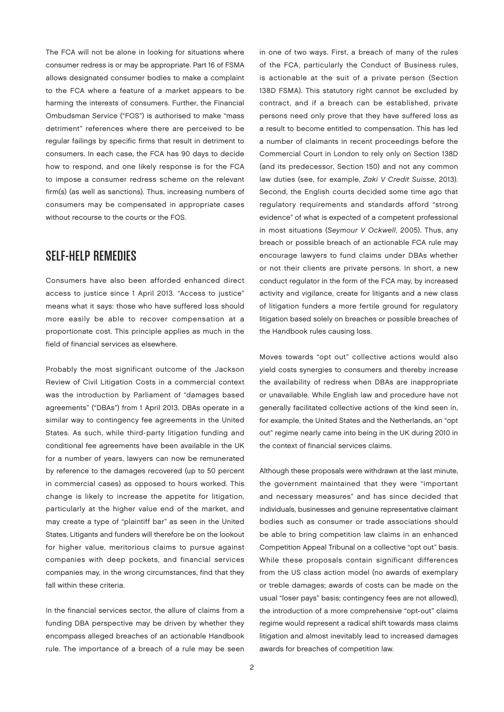The FCA will not be alone in looking for situations where consumer redress is or may be appropriate. Part 16 of FSMA allows designated consumer bodies to make a complaint to the FCA where a feature of a market appears to be harming the interests of consumers. Further, the Financial Ombudsman Service ("FOS") is authorised to make "mass detriment" references where there are perceived to be regular failings by specific firms that result in detriment to consumers. In each case, the FCA has 90 days to decide how to respond, and one likely response is for the FCA to impose a consumer redress scheme on the relevant firm(s) (as well as sanctions). Thus, increasing numbers of consumers may be compensated in appropriate cases without recourse to the courts or the FOS.

#### Self-Help Remedies

Consumers have also been afforded enhanced direct access to justice since 1 April 2013. "Access to justice" means what it says: those who have suffered loss should more easily be able to recover compensation at a proportionate cost. This principle applies as much in the field of financial services as elsewhere.

Probably the most significant outcome of the Jackson Review of Civil Litigation Costs in a commercial context was the introduction by Parliament of "damages based agreements" ("DBAs") from 1 April 2013. DBAs operate in a similar way to contingency fee agreements in the United States. As such, while third-party litigation funding and conditional fee agreements have been available in the UK for a number of years, lawyers can now be remunerated by reference to the damages recovered (up to 50 percent in commercial cases) as opposed to hours worked. This change is likely to increase the appetite for litigation, particularly at the higher value end of the market, and may create a type of "plaintiff bar" as seen in the United States. Litigants and funders will therefore be on the lookout for higher value, meritorious claims to pursue against companies with deep pockets, and financial services companies may, in the wrong circumstances, find that they fall within these criteria.

In the financial services sector, the allure of claims from a funding DBA perspective may be driven by whether they encompass alleged breaches of an actionable Handbook rule. The importance of a breach of a rule may be seen in one of two ways. First, a breach of many of the rules of the FCA, particularly the Conduct of Business rules, is actionable at the suit of a private person (Section 138D FSMA). This statutory right cannot be excluded by contract, and if a breach can be established, private persons need only prove that they have suffered loss as a result to become entitled to compensation. This has led a number of claimants in recent proceedings before the Commercial Court in London to rely only on Section 138D (and its predecessor, Section 150) and not any common law duties (see, for example, Zaki V Credit Suisse, 2013). Second, the English courts decided some time ago that regulatory requirements and standards afford "strong evidence" of what is expected of a competent professional in most situations (Seymour V Ockwell, 2005). Thus, any breach or possible breach of an actionable FCA rule may encourage lawyers to fund claims under DBAs whether or not their clients are private persons. In short, a new conduct regulator in the form of the FCA may, by increased activity and vigilance, create for litigants and a new class of litigation funders a more fertile ground for regulatory litigation based solely on breaches or possible breaches of the Handbook rules causing loss.

Moves towards "opt out" collective actions would also yield costs synergies to consumers and thereby increase the availability of redress when DBAs are inappropriate or unavailable. While English law and procedure have not generally facilitated collective actions of the kind seen in, for example, the United States and the Netherlands, an "opt out" regime nearly came into being in the UK during 2010 in the context of financial services claims.

Although these proposals were withdrawn at the last minute, the government maintained that they were "important and necessary measures" and has since decided that individuals, businesses and genuine representative claimant bodies such as consumer or trade associations should be able to bring competition law claims in an enhanced Competition Appeal Tribunal on a collective "opt out" basis. While these proposals contain significant differences from the US class action model (no awards of exemplary or treble damages; awards of costs can be made on the usual "loser pays" basis; contingency fees are not allowed), the introduction of a more comprehensive "opt-out" claims regime would represent a radical shift towards mass claims litigation and almost inevitably lead to increased damages awards for breaches of competition law.